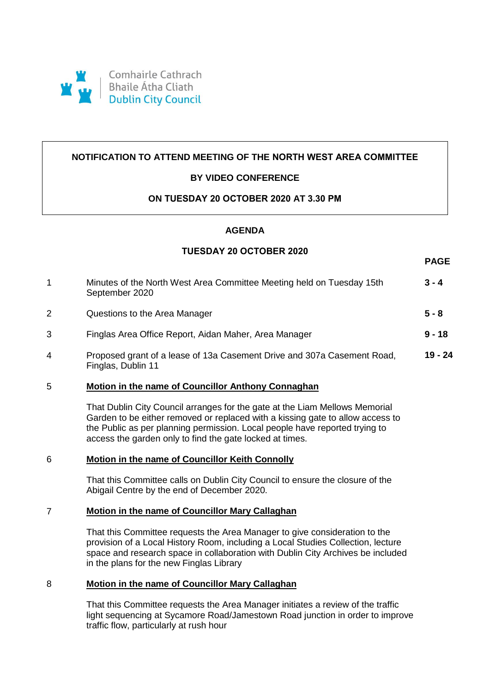

## **NOTIFICATION TO ATTEND MEETING OF THE NORTH WEST AREA COMMITTEE**

# **BY VIDEO CONFERENCE**

### **ON TUESDAY 20 OCTOBER 2020 AT 3.30 PM**

### **AGENDA**

# **TUESDAY 20 OCTOBER 2020**

**PAGE**

| 1              | Minutes of the North West Area Committee Meeting held on Tuesday 15th<br>September 2020       | $3 - 4$   |
|----------------|-----------------------------------------------------------------------------------------------|-----------|
| $\overline{2}$ | Questions to the Area Manager                                                                 | $5 - 8$   |
| 3              | Finglas Area Office Report, Aidan Maher, Area Manager                                         | $9 - 18$  |
| 4              | Proposed grant of a lease of 13a Casement Drive and 307a Casement Road,<br>Finglas, Dublin 11 | $19 - 24$ |

### 5 **Motion in the name of Councillor Anthony Connaghan**

That Dublin City Council arranges for the gate at the Liam Mellows Memorial Garden to be either removed or replaced with a kissing gate to allow access to the Public as per planning permission. Local people have reported trying to access the garden only to find the gate locked at times.

### 6 **Motion in the name of Councillor Keith Connolly**

That this Committee calls on Dublin City Council to ensure the closure of the Abigail Centre by the end of December 2020.

### 7 **Motion in the name of Councillor Mary Callaghan**

That this Committee requests the Area Manager to give consideration to the provision of a Local History Room, including a Local Studies Collection, lecture space and research space in collaboration with Dublin City Archives be included in the plans for the new Finglas Library

### 8 **Motion in the name of Councillor Mary Callaghan**

That this Committee requests the Area Manager initiates a review of the traffic light sequencing at Sycamore Road/Jamestown Road junction in order to improve traffic flow, particularly at rush hour